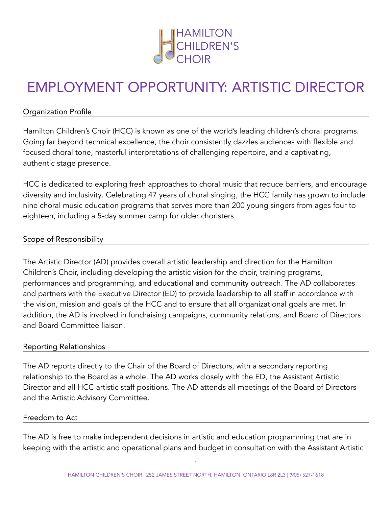

# EMPLOYMENT OPPORTUNITY: ARTISTIC DIRECTOR

#### Organization Profile

Hamilton Children's Choir (HCC) is known as one of the world's leading children's choral programs. Going far beyond technical excellence, the choir consistently dazzles audiences with flexible and focused choral tone, masterful interpretations of challenging repertoire, and a captivating, authentic stage presence.

HCC is dedicated to exploring fresh approaches to choral music that reduce barriers, and encourage diversity and inclusivity. Celebrating 47 years of choral singing, the HCC family has grown to include nine choral music education programs that serves more than 200 young singers from ages four to eighteen, including a 5-day summer camp for older choristers.

#### Scope of Responsibility

The Artistic Director (AD) provides overall artistic leadership and direction for the Hamilton Children's Choir, including developing the artistic vision for the choir, training programs, performances and programming, and educational and community outreach. The AD collaborates and partners with the Executive Director (ED) to provide leadership to all staff in accordance with the vision, mission and goals of the HCC and to ensure that all organizational goals are met. In addition, the AD is involved in fundraising campaigns, community relations, and Board of Directors and Board Committee liaison.

#### Reporting Relationships

The AD reports directly to the Chair of the Board of Directors, with a secondary reporting relationship to the Board as a whole. The AD works closely with the ED, the Assistant Artistic Director and all HCC artistic staff positions. The AD attends all meetings of the Board of Directors and the Artistic Advisory Committee.

#### Freedom to Act

The AD is free to make independent decisions in artistic and education programming that are in keeping with the artistic and operational plans and budget in consultation with the Assistant Artistic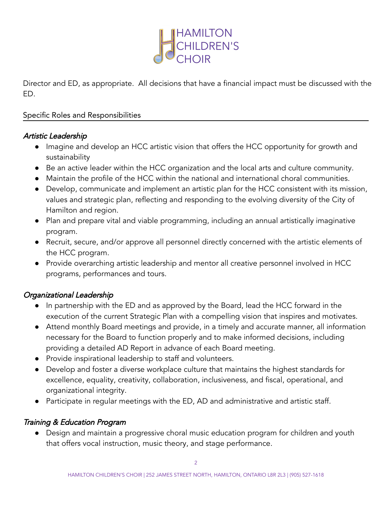

Director and ED, as appropriate. All decisions that have a financial impact must be discussed with the ED.

#### Specific Roles and Responsibilities

#### Artistic Leadership

- Imagine and develop an HCC artistic vision that offers the HCC opportunity for growth and sustainability
- Be an active leader within the HCC organization and the local arts and culture community.
- Maintain the profile of the HCC within the national and international choral communities.
- Develop, communicate and implement an artistic plan for the HCC consistent with its mission, values and strategic plan, reflecting and responding to the evolving diversity of the City of Hamilton and region.
- Plan and prepare vital and viable programming, including an annual artistically imaginative program.
- Recruit, secure, and/or approve all personnel directly concerned with the artistic elements of the HCC program.
- Provide overarching artistic leadership and mentor all creative personnel involved in HCC programs, performances and tours.

## Organizational Leadership

- In partnership with the ED and as approved by the Board, lead the HCC forward in the execution of the current Strategic Plan with a compelling vision that inspires and motivates.
- Attend monthly Board meetings and provide, in a timely and accurate manner, all information necessary for the Board to function properly and to make informed decisions, including providing a detailed AD Report in advance of each Board meeting.
- Provide inspirational leadership to staff and volunteers.
- Develop and foster a diverse workplace culture that maintains the highest standards for excellence, equality, creativity, collaboration, inclusiveness, and fiscal, operational, and organizational integrity.
- Participate in regular meetings with the ED, AD and administrative and artistic staff.

## Training & Education Program

● Design and maintain a progressive choral music education program for children and youth that offers vocal instruction, music theory, and stage performance.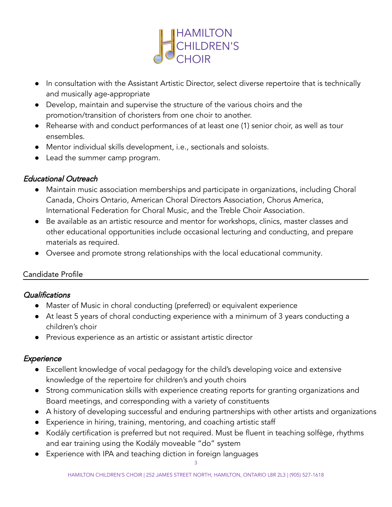

- In consultation with the Assistant Artistic Director, select diverse repertoire that is technically and musically age-appropriate
- Develop, maintain and supervise the structure of the various choirs and the promotion/transition of choristers from one choir to another.
- Rehearse with and conduct performances of at least one (1) senior choir, as well as tour ensembles.
- Mentor individual skills development, i.e., sectionals and soloists.
- Lead the summer camp program.

## Educational Outreach

- Maintain music association memberships and participate in organizations, including Choral Canada, Choirs Ontario, American Choral Directors Association, Chorus America, International Federation for Choral Music, and the Treble Choir Association.
- Be available as an artistic resource and mentor for workshops, clinics, master classes and other educational opportunities include occasional lecturing and conducting, and prepare materials as required.
- Oversee and promote strong relationships with the local educational community.

## Candidate Profile

## **Qualifications**

- Master of Music in choral conducting (preferred) or equivalent experience
- At least 5 years of choral conducting experience with a minimum of 3 years conducting a children's choir
- Previous experience as an artistic or assistant artistic director

## **Experience**

- Excellent knowledge of vocal pedagogy for the child's developing voice and extensive knowledge of the repertoire for children's and youth choirs
- Strong communication skills with experience creating reports for granting organizations and Board meetings, and corresponding with a variety of constituents
- A history of developing successful and enduring partnerships with other artists and organizations
- Experience in hiring, training, mentoring, and coaching artistic staff
- Kodály certification is preferred but not required. Must be fluent in teaching solfège, rhythms and ear training using the Kodály moveable "do" system
- Experience with IPA and teaching diction in foreign languages